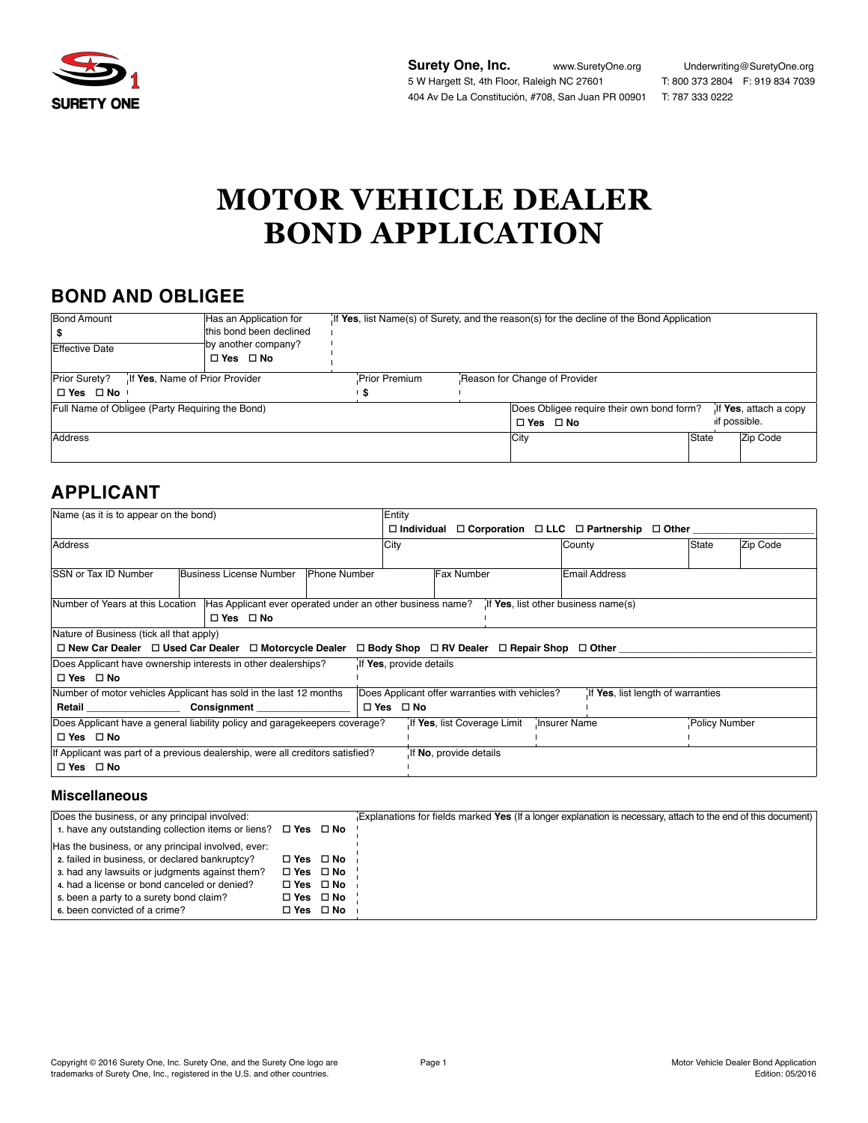

**Surety One, Inc.** www.SuretyOne.org Underwriting@SuretyOne.org 5 W Hargett St, 4th Floor, Raleigh NC 27601 T: 800 373 2804 F: 919 834 7039 404 Av De La Constitución, #708, San Juan PR 00901 T: 787 333 0222

# **MOTOR VEHICLE DEALER BOND APPLICATION**

# **BOND AND OBLIGEE**

| <b>Bond Amount</b>                              | Has an Application for  | If Yes, list Name(s) of Surety, and the reason(s) for the decline of the Bond Application |  |                                                                    |       |              |          |
|-------------------------------------------------|-------------------------|-------------------------------------------------------------------------------------------|--|--------------------------------------------------------------------|-------|--------------|----------|
|                                                 | this bond been declined |                                                                                           |  |                                                                    |       |              |          |
| <b>Effective Date</b>                           | by another company?     |                                                                                           |  |                                                                    |       |              |          |
|                                                 | $\Box$ Yes $\Box$ No    |                                                                                           |  |                                                                    |       |              |          |
| Prior Surety?<br>If Yes, Name of Prior Provider | <b>Prior Premium</b>    | Reason for Change of Provider                                                             |  |                                                                    |       |              |          |
| $\Box$ Yes $\Box$ No $\Box$                     |                         | -5                                                                                        |  |                                                                    |       |              |          |
| Full Name of Obligee (Party Requiring the Bond) |                         |                                                                                           |  | Does Obligee require their own bond form?<br>If Yes, attach a copy |       |              |          |
|                                                 |                         |                                                                                           |  | $\Box$ Yes $\Box$ No                                               |       | if possible. |          |
| Address                                         |                         |                                                                                           |  | City                                                               | State |              | Zip Code |
|                                                 |                         |                                                                                           |  |                                                                    |       |              |          |

## **APPLICANT**

| Name (as it is to appear on the bond)                                                                                 | Entity                                                                              |                                     |                      |  |  |  |
|-----------------------------------------------------------------------------------------------------------------------|-------------------------------------------------------------------------------------|-------------------------------------|----------------------|--|--|--|
|                                                                                                                       | $\Box$ Individual $\Box$ Corporation $\Box$ LLC $\Box$ Partnership $\Box$ Other     |                                     |                      |  |  |  |
| Address                                                                                                               | <b>City</b>                                                                         | County                              | Zip Code<br>State    |  |  |  |
| <b>ISSN or Tax ID Number</b><br>Business License Number<br><b>Phone Number</b>                                        | <b>Fax Number</b>                                                                   | Email Address                       |                      |  |  |  |
| Number of Years at this Location<br>Has Applicant ever operated under an other business name?<br>$\Box$ Yes $\Box$ No |                                                                                     | If Yes, list other business name(s) |                      |  |  |  |
| Nature of Business (tick all that apply)                                                                              |                                                                                     |                                     |                      |  |  |  |
| $\Box$ New Car Dealer $\Box$ Used Car Dealer $\Box$ Motorcycle Dealer                                                 | $\Box$ Body Shop $\Box$ RV Dealer $\Box$ Repair Shop $\Box$ Other                   |                                     |                      |  |  |  |
| Does Applicant have ownership interests in other dealerships?                                                         | If Yes, provide details                                                             |                                     |                      |  |  |  |
| $\Box$ Yes $\Box$ No                                                                                                  |                                                                                     |                                     |                      |  |  |  |
| Number of motor vehicles Applicant has sold in the last 12 months                                                     | Does Applicant offer warranties with vehicles?<br>If Yes, list length of warranties |                                     |                      |  |  |  |
|                                                                                                                       | $\Box$ Yes $\Box$ No                                                                |                                     |                      |  |  |  |
| Does Applicant have a general liability policy and garagekeepers coverage?                                            | If Yes, list Coverage Limit                                                         | Insurer Name                        | <b>Policy Number</b> |  |  |  |
| $\Box$ Yes $\Box$ No                                                                                                  |                                                                                     |                                     |                      |  |  |  |
| If Applicant was part of a previous dealership, were all creditors satisfied?                                         | If No, provide details                                                              |                                     |                      |  |  |  |
| $\Box$ Yes $\Box$ No                                                                                                  |                                                                                     |                                     |                      |  |  |  |

### **Miscellaneous**

| Does the business, or any principal involved:                           |                      | Explanations for fields marked Yes (If a longer explanation is necessary, attach to the end of this document) |
|-------------------------------------------------------------------------|----------------------|---------------------------------------------------------------------------------------------------------------|
| 1. have any outstanding collection items or liens? $\Box$ Yes $\Box$ No |                      |                                                                                                               |
| Has the business, or any principal involved, ever:                      |                      |                                                                                                               |
| 2. failed in business, or declared bankruptcy?                          | $\Box$ Yes $\Box$ No |                                                                                                               |
| 3. had any lawsuits or judgments against them?                          | $\Box$ Yes $\Box$ No |                                                                                                               |
| 4. had a license or bond canceled or denied?                            | $\Box$ Yes $\Box$ No |                                                                                                               |
| 5. been a party to a surety bond claim?                                 | $\Box$ Yes $\Box$ No |                                                                                                               |
| 6. been convicted of a crime?                                           | $\Box$ Yes $\Box$ No |                                                                                                               |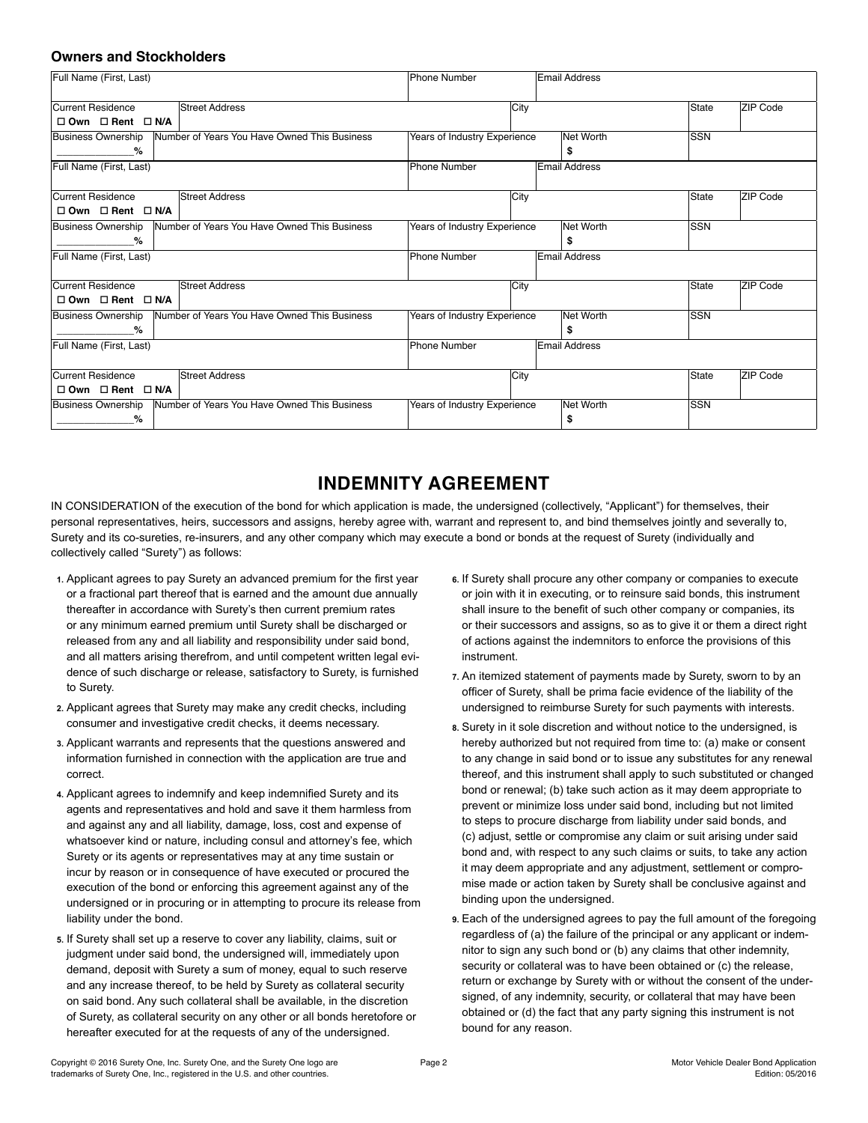### **Owners and Stockholders**

| Full Name (First, Last)                                                   | Phone Number                 | Email Address        |            |          |  |
|---------------------------------------------------------------------------|------------------------------|----------------------|------------|----------|--|
|                                                                           |                              |                      |            |          |  |
| Current Residence<br>Street Address                                       | City                         |                      | State      | ZIP Code |  |
| $\Box$ Own $\Box$ Rent $\Box$ N/A                                         |                              |                      |            |          |  |
| Number of Years You Have Owned This Business<br>Business Ownership        | Years of Industry Experience | Net Worth            | <b>SSN</b> |          |  |
| $\%$                                                                      |                              | S                    |            |          |  |
| Full Name (First, Last)                                                   | <b>Phone Number</b>          | <b>Email Address</b> |            |          |  |
|                                                                           |                              |                      |            |          |  |
| Current Residence<br><b>Street Address</b>                                | City                         |                      | State      | ZIP Code |  |
| $\Box$ Own $\Box$ Rent $\Box$ N/A                                         |                              |                      |            |          |  |
| Number of Years You Have Owned This Business<br><b>Business Ownership</b> | Years of Industry Experience | Net Worth            | <b>SSN</b> |          |  |
| %                                                                         |                              | \$                   |            |          |  |
| Full Name (First, Last)                                                   | <b>Phone Number</b>          | <b>Email Address</b> |            |          |  |
|                                                                           |                              |                      |            |          |  |
| Current Residence<br><b>Street Address</b>                                | City                         |                      | State      | ZIP Code |  |
| $\Box$ Own $\Box$ Rent $\Box$ N/A                                         |                              |                      |            |          |  |
| Number of Years You Have Owned This Business<br><b>Business Ownership</b> | Years of Industry Experience | Net Worth            | <b>SSN</b> |          |  |
| %                                                                         |                              | \$                   |            |          |  |
| Full Name (First, Last)                                                   | <b>Phone Number</b>          | <b>Email Address</b> |            |          |  |
|                                                                           |                              |                      |            |          |  |
| <b>Street Address</b><br>Current Residence                                | City                         |                      | State      | ZIP Code |  |
| $\square$ Own $\square$ Rent $\square$ N/A                                |                              |                      |            |          |  |
| Number of Years You Have Owned This Business<br><b>Business Ownership</b> | Years of Industry Experience | Net Worth            | SSN        |          |  |
| ℅                                                                         |                              | \$                   |            |          |  |

# **INDEMNITY AGREEMENT**

IN CONSIDERATION of the execution of the bond for which application is made, the undersigned (collectively, "Applicant") for themselves, their personal representatives, heirs, successors and assigns, hereby agree with, warrant and represent to, and bind themselves jointly and severally to, Surety and its co-sureties, re-insurers, and any other company which may execute a bond or bonds at the request of Surety (individually and collectively called "Surety") as follows:

- **1.** Applicant agrees to pay Surety an advanced premium for the first year or a fractional part thereof that is earned and the amount due annually thereafter in accordance with Surety's then current premium rates or any minimum earned premium until Surety shall be discharged or released from any and all liability and responsibility under said bond, and all matters arising therefrom, and until competent written legal evidence of such discharge or release, satisfactory to Surety, is furnished to Surety.
- **2.** Applicant agrees that Surety may make any credit checks, including consumer and investigative credit checks, it deems necessary.
- **3.** Applicant warrants and represents that the questions answered and information furnished in connection with the application are true and correct.
- **4.** Applicant agrees to indemnify and keep indemnified Surety and its agents and representatives and hold and save it them harmless from and against any and all liability, damage, loss, cost and expense of whatsoever kind or nature, including consul and attorney's fee, which Surety or its agents or representatives may at any time sustain or incur by reason or in consequence of have executed or procured the execution of the bond or enforcing this agreement against any of the undersigned or in procuring or in attempting to procure its release from liability under the bond.
- **5.** If Surety shall set up a reserve to cover any liability, claims, suit or judgment under said bond, the undersigned will, immediately upon demand, deposit with Surety a sum of money, equal to such reserve and any increase thereof, to be held by Surety as collateral security on said bond. Any such collateral shall be available, in the discretion of Surety, as collateral security on any other or all bonds heretofore or hereafter executed for at the requests of any of the undersigned.
- **6.** If Surety shall procure any other company or companies to execute or join with it in executing, or to reinsure said bonds, this instrument shall insure to the benefit of such other company or companies, its or their successors and assigns, so as to give it or them a direct right of actions against the indemnitors to enforce the provisions of this instrument.
- **7.** An itemized statement of payments made by Surety, sworn to by an officer of Surety, shall be prima facie evidence of the liability of the undersigned to reimburse Surety for such payments with interests.
- **8.** Surety in it sole discretion and without notice to the undersigned, is hereby authorized but not required from time to: (a) make or consent to any change in said bond or to issue any substitutes for any renewal thereof, and this instrument shall apply to such substituted or changed bond or renewal; (b) take such action as it may deem appropriate to prevent or minimize loss under said bond, including but not limited to steps to procure discharge from liability under said bonds, and (c) adjust, settle or compromise any claim or suit arising under said bond and, with respect to any such claims or suits, to take any action it may deem appropriate and any adjustment, settlement or compromise made or action taken by Surety shall be conclusive against and binding upon the undersigned.
- **9.** Each of the undersigned agrees to pay the full amount of the foregoing regardless of (a) the failure of the principal or any applicant or indemnitor to sign any such bond or (b) any claims that other indemnity, security or collateral was to have been obtained or (c) the release, return or exchange by Surety with or without the consent of the undersigned, of any indemnity, security, or collateral that may have been obtained or (d) the fact that any party signing this instrument is not bound for any reason.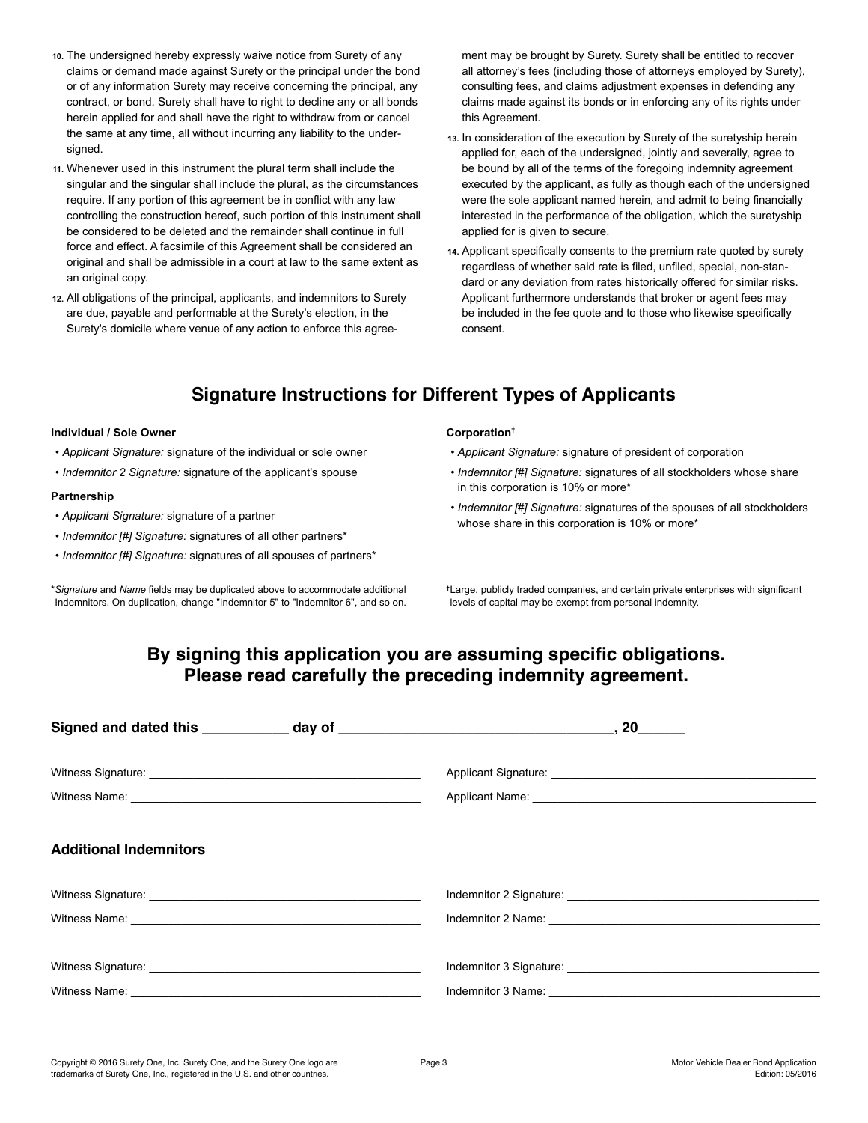- **10.** The undersigned hereby expressly waive notice from Surety of any claims or demand made against Surety or the principal under the bond or of any information Surety may receive concerning the principal, any contract, or bond. Surety shall have to right to decline any or all bonds herein applied for and shall have the right to withdraw from or cancel the same at any time, all without incurring any liability to the undersigned.
- **11.** Whenever used in this instrument the plural term shall include the singular and the singular shall include the plural, as the circumstances require. If any portion of this agreement be in conflict with any law controlling the construction hereof, such portion of this instrument shall be considered to be deleted and the remainder shall continue in full force and effect. A facsimile of this Agreement shall be considered an original and shall be admissible in a court at law to the same extent as an original copy.
- **12.** All obligations of the principal, applicants, and indemnitors to Surety are due, payable and performable at the Surety's election, in the Surety's domicile where venue of any action to enforce this agree-

ment may be brought by Surety. Surety shall be entitled to recover all attorney's fees (including those of attorneys employed by Surety), consulting fees, and claims adjustment expenses in defending any claims made against its bonds or in enforcing any of its rights under this Agreement.

- **13.** In consideration of the execution by Surety of the suretyship herein applied for, each of the undersigned, jointly and severally, agree to be bound by all of the terms of the foregoing indemnity agreement executed by the applicant, as fully as though each of the undersigned were the sole applicant named herein, and admit to being financially interested in the performance of the obligation, which the suretyship applied for is given to secure.
- **14.** Applicant specifically consents to the premium rate quoted by surety regardless of whether said rate is filed, unfiled, special, non-standard or any deviation from rates historically offered for similar risks. Applicant furthermore understands that broker or agent fees may be included in the fee quote and to those who likewise specifically consent.

# **Signature Instructions for Different Types of Applicants**

#### **Individual / Sole Owner**

- *Applicant Signature:* signature of the individual or sole owner
- *Indemnitor 2 Signature:* signature of the applicant's spouse

#### **Partnership**

- *Applicant Signature:* signature of a partner
- *Indemnitor [#] Signature:* signatures of all other partners\*
- *Indemnitor [#] Signature:* signatures of all spouses of partners\*

\**Signature* and *Name* fields may be duplicated above to accommodate additional Indemnitors. On duplication, change "Indemnitor 5" to "Indemnitor 6", and so on.

#### **Corporation†**

- *Applicant Signature:* signature of president of corporation
- *Indemnitor [#] Signature:* signatures of all stockholders whose share in this corporation is 10% or more\*
- *Indemnitor [#] Signature:* signatures of the spouses of all stockholders whose share in this corporation is 10% or more\*

**†**Large, publicly traded companies, and certain private enterprises with significant levels of capital may be exempt from personal indemnity.

### **By signing this application you are assuming specific obligations. Please read carefully the preceding indemnity agreement.**

| <b>Additional Indemnitors</b> |                                                                                                                |
|-------------------------------|----------------------------------------------------------------------------------------------------------------|
|                               |                                                                                                                |
|                               |                                                                                                                |
|                               | Indemnitor 3 Signature: Maria Maria Maria Maria Maria Maria Maria Maria Maria Maria Maria Maria Maria Maria Ma |
|                               |                                                                                                                |